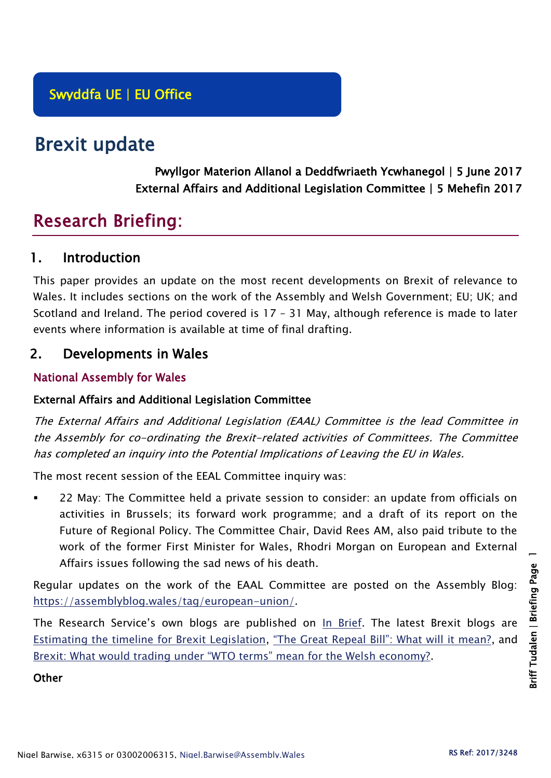# Brexit update

Pwyllgor Materion Allanol a Deddfwriaeth Ycwhanegol | 5 June 2017 External Affairs and Additional Legislation Committee | 5 Mehefin 2017

## Research Briefing:

## 1. Introduction

This paper provides an update on the most recent developments on Brexit of relevance to Wales. It includes sections on the work of the Assembly and Welsh Government; EU; UK; and Scotland and Ireland. The period covered is 17 – 31 May, although reference is made to later events where information is available at time of final drafting.

## 2. Developments in Wales

#### National Assembly for Wales

#### External Affairs and Additional Legislation Committee

The External Affairs and Additional Legislation (EAAL) Committee is the lead Committee in the Assembly for co-ordinating the Brexit-related activities of Committees. The Committee has completed an inquiry into the Potential Implications of Leaving the EU in Wales.

The most recent session of the EEAL Committee inquiry was:

 22 May: The Committee held a private session to consider: an update from officials on activities in Brussels; its forward work programme; and a draft of its report on the Future of Regional Policy. The Committee Chair, David Rees AM, also paid tribute to the work of the former First Minister for Wales, Rhodri Morgan on European and External Affairs issues following the sad news of his death.

Regular updates on the work of the EAAL Committee are posted on the Assembly Blog: [https://assemblyblog.wales/tag/european-union/.](https://assemblyblog.wales/tag/european-union/)

The Research Service's own blogs are published on [In Brief.](https://assemblyinbrief.wordpress.com/) The latest Brexit blogs are [Estimating the timeline for Brexit Legislation,](https://assemblyinbrief.wordpress.com/2017/04/25/estimating-the-timeline-for-brexit-legislation/) ["The Great Repeal Bill": What will it mean?](https://assemblyinbrief.wordpress.com/2017/04/10/the-great-repeal-bill-what-will-it-mean/), and [Brexit: What would trading under "WTO terms" mean for the Welsh economy?](https://assemblyinbrief.wordpress.com/2017/04/07/brexit-what-would-trading-under-wto-terms-mean-for-the-welsh-economy/).

**Other**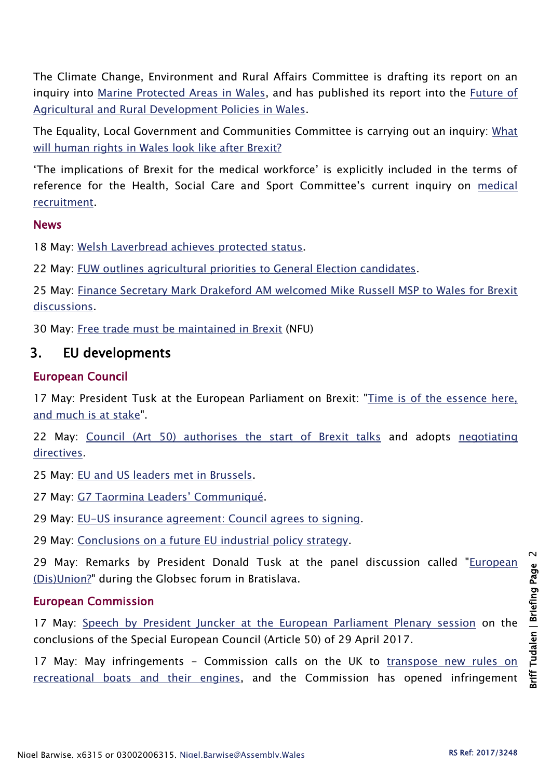The Climate Change, Environment and Rural Affairs Committee is drafting its report on an inquiry into [Marine Protected Areas in Wales,](http://senedd.assembly.wales/mgIssueHistoryHome.aspx?IId=16663) and has published its report into the *Future of* [Agricultural and Rural Development Policies in Wales.](http://senedd.assembly.wales/mgIssueHistoryHome.aspx?IId=15876)

The Equality, Local Government and Communities Committee is carrying out an inquiry: [What](http://senedd.assembly.wales/mgConsultationDisplay.aspx?id=244&RPID=1008299204&cp=yes)  [will human rights in Wales look like after Brexit?](http://senedd.assembly.wales/mgConsultationDisplay.aspx?id=244&RPID=1008299204&cp=yes)

'The implications of Brexit for the medical workforce' is explicitly included in the terms of reference for the Health, Social Care and Sport Committee's current inquiry on [medical](http://senedd.assembly.wales/mgIssueHistoryHome.aspx?IId=16122)  [recruitment.](http://senedd.assembly.wales/mgIssueHistoryHome.aspx?IId=16122)

#### News

18 May: [Welsh Laverbread achieves protected status.](http://gov.wales/newsroom/environmentandcountryside/2017/170517-welsh-laverbread-achieves-protected-status/?lang=en)

22 May: [FUW outlines agricultural priorities to General Election candidates.](http://fuw.org.uk/fuw-outlines-agricultural-priorities-to-general-election-candidates/)

25 May: [Finance Secretary Mark Drakeford AM welcomed Mike Russell MSP to Wales for Brexit](http://gov.wales/newsroom/finance1/2017/59094463/?lang=en)  [discussions.](http://gov.wales/newsroom/finance1/2017/59094463/?lang=en)

30 May: [Free trade must be maintained in Brexit](https://www.nfu-cymru.org.uk/news/latest-news/free-trade-must-be-maintained-in-brexit/) (NFU)

## 3. EU developments

#### European Council

17 May: President Tusk at the European Parliament on Brexit: ["Time is of the essence here,](http://www.consilium.europa.eu/en/press/press-releases/2017/05/17-tusk-report-european-parliament/)  [and much is at stake"](http://www.consilium.europa.eu/en/press/press-releases/2017/05/17-tusk-report-european-parliament/).

22 May: [Council \(Art 50\) authorises the start of Brexit talks](http://www.consilium.europa.eu/en/press/press-releases/2017/05/22-brexit-negotiating-directives/) and adopts [negotiating](http://www.consilium.europa.eu/en/meetings/gac/2017/05/Directives-for-the-negotiation-xt21016-ad01re02_en17_pdf/)  [directives.](http://www.consilium.europa.eu/en/meetings/gac/2017/05/Directives-for-the-negotiation-xt21016-ad01re02_en17_pdf/)

25 May: [EU and US leaders met in Brussels.](http://www.consilium.europa.eu/en/european-council/president/news/20170524-eu-us-trump-tusk-results/)

27 May: [G7 Taormina Leaders' Communiqué](http://www.consilium.europa.eu/en/WorkArea/DownloadAsset.aspx?id=47244659985).

29 May: [EU-US insurance agreement: Council agrees to signing.](http://www.consilium.europa.eu/en/press/press-releases/2017/05/29-compet-eu-us-insurance-agreement/)

29 May: [Conclusions on a future EU industrial policy strategy.](http://www.consilium.europa.eu/en/press/press-releases/2017/05/29-compet-conclusions-future-industrial-policy-strategy/)

29 May: Remarks by President Donald Tusk at the panel discussion called "European [\(Dis\)Union?"](http://www.consilium.europa.eu/en/press/press-releases/2017/05/29-remarks-tusk-globasec-forum-bratislava/) during the Globsec forum in Bratislava.

#### European Commission

17 May: [Speech by President Juncker at the European Parliament Plenary session](http://europa.eu/rapid/press-release_SPEECH-17-1362_en.htm) on the conclusions of the Special European Council (Article 50) of 29 April 2017.

17 May: May infringements - Commission calls on the UK to transpose new rules on [recreational boats and their engines,](http://europa.eu/rapid/press-release_MEMO-17-1280_en.htm) and the Commission has opened infringement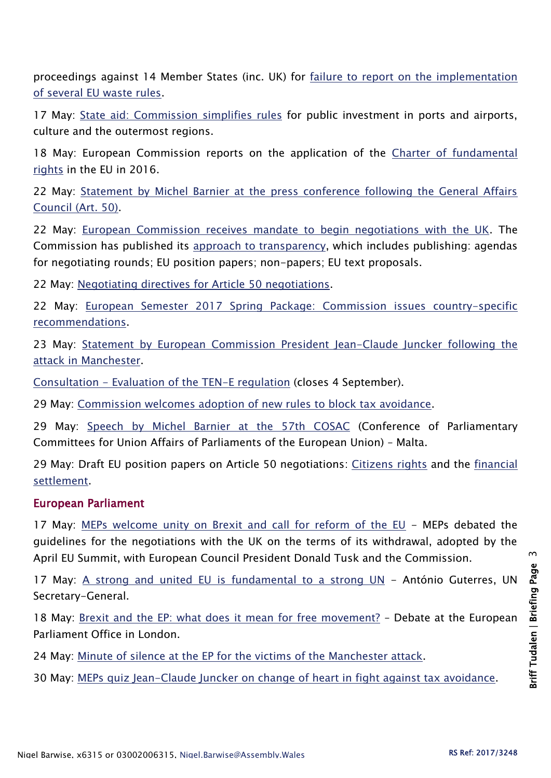proceedings against 14 Member States (inc. UK) for [failure to report on the implementation](http://europa.eu/rapid/press-release_MEMO-17-1281_en.htm)  [of several EU waste rules.](http://europa.eu/rapid/press-release_MEMO-17-1281_en.htm)

17 May: [State aid: Commission simplifies rules](http://europa.eu/rapid/press-release_IP-17-1341_en.htm) for public investment in ports and airports, culture and the outermost regions.

18 May: European Commission reports on the application of the Charter of fundamental [rights](http://europa.eu/rapid/press-release_IP-17-1336_en.htm) in the EU in 2016.

22 May: [Statement by Michel Barnier at the press conference following the General Affairs](http://europa.eu/rapid/press-release_SPEECH-17-1422_en.htm)  [Council \(Art. 50\).](http://europa.eu/rapid/press-release_SPEECH-17-1422_en.htm)

22 May: [European Commission receives mandate to begin negotiations with the UK.](http://europa.eu/rapid/press-release_IP-17-1405_en.htm) The Commission has published its [approach to transparency,](https://ec.europa.eu/commission/article-50-negotiations-united-kingdom/european-commissions-approach-transparency-article-50-negotiations-united-kingdom_en) which includes publishing: agendas for negotiating rounds; EU position papers; non-papers; EU text proposals.

22 May: [Negotiating directives for Article 50 negotiations.](https://ec.europa.eu/commission/publications/negotiating-directives-article-50-negotiations_en)

22 May: [European Semester 2017 Spring Package: Commission issues country-specific](http://europa.eu/rapid/press-release_IP-17-1311_en.htm)  [recommendations.](http://europa.eu/rapid/press-release_IP-17-1311_en.htm)

23 May: [Statement by European Commission President Jean-Claude Juncker following the](http://europa.eu/rapid/press-release_STATEMENT-17-1434_en.htm)  [attack in Manchester.](http://europa.eu/rapid/press-release_STATEMENT-17-1434_en.htm)

Consultation - [Evaluation of the TEN-E regulation](https://ec.europa.eu/energy/en/consultations/evaluation-ten-e-regulation) (closes 4 September).

29 May: [Commission welcomes adoption of new rules to block tax avoidance.](http://europa.eu/rapid/press-release_IP-17-1433_en.htm)

29 May: [Speech by Michel Barnier at the 57th COSAC](http://europa.eu/rapid/press-release_SPEECH-17-1469_en.htm) (Conference of Parliamentary Committees for Union Affairs of Parliaments of the European Union) – Malta.

29 May: Draft EU position papers on Article 50 negotiations: [Citizens rights](https://ec.europa.eu/commission/sites/beta-political/files/citizens-rights-essential-principles-draft-position-paper_en.pdf) and the [financial](https://ec.europa.eu/commission/sites/beta-political/files/financial-settlement-essential-principles-draft-position-paper_en.pdf)  [settlement.](https://ec.europa.eu/commission/sites/beta-political/files/financial-settlement-essential-principles-draft-position-paper_en.pdf)

#### European Parliament

17 May: [MEPs welcome unity on Brexit and call for reform of the EU](http://www.europarl.europa.eu/news/en/news-room/20170509IPR73931/meps-welcome-unity-on-brexit-and-call-for-reform-of-the-eu) - MEPs debated the guidelines for the negotiations with the UK on the terms of its withdrawal, adopted by the April EU Summit, with European Council President Donald Tusk and the Commission.

17 May: [A strong and united EU is fundamental to a strong UN](http://www.europarl.europa.eu/news/en/news-room/20170515STO74833/ant%C3%B3nio-guterres-a-strong-and-united-eu-is-fundamental-to-a-strong-un) - António Guterres, UN Secretary-General.

18 May: [Brexit and the EP: what does it mean for free movement?](http://www.europarl.europa.eu/news/en/news-room/20170511AVI74362/brexit-and-the-ep-what-does-it-mean-for-free-movement) - Debate at the European Parliament Office in London.

24 May: [Minute of silence at the EP for the victims of the Manchester attack.](http://www.europarl.europa.eu/news/en/press-room/20170524IPR76102/minute-of-silence-at-the-ep-for-the-victims-of-the-manchester-attack)

30 May: [MEPs quiz Jean-Claude Juncker on change of heart in fight against tax avoidance.](http://www.europarl.europa.eu/news/en/press-room/20170529IPR76254/meps-quiz-jean-claude-juncker-on-his-about-turn-in-fight-against-tax-avoidance)